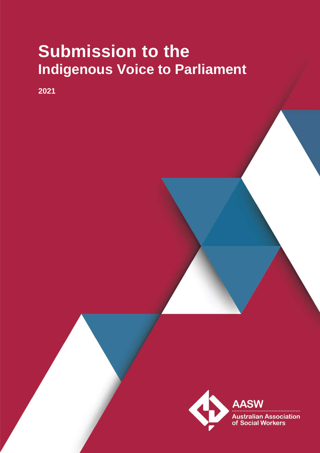# **Submission to the Indigenous Voice to Parliament**

**2021**

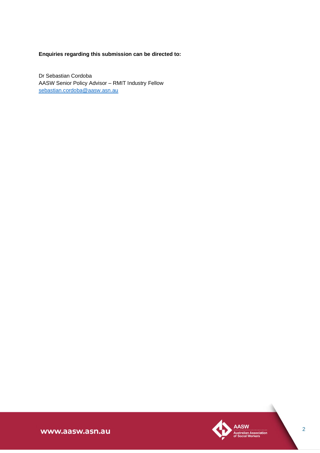## **Enquiries regarding this submission can be directed to:**

Dr Sebastian Cordoba AASW Senior Policy Advisor – RMIT Industry Fellow [sebastian.cordoba@aasw.asn.au](mailto:sebastian.cordoba@aasw.asn.au)



www.aasw.asn.au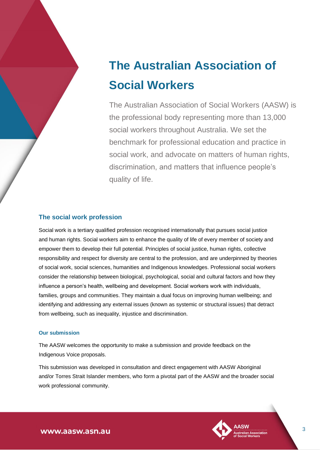## **The Australian Association of Social Workers**

The Australian Association of Social Workers (AASW) is the professional body representing more than 13,000 social workers throughout Australia. We set the benchmark for professional education and practice in social work, and advocate on matters of human rights, discrimination, and matters that influence people's quality of life.

### **The social work profession**

Social work is a tertiary qualified profession recognised internationally that pursues social justice and human rights. Social workers aim to enhance the quality of life of every member of society and empower them to develop their full potential. Principles of social justice, human rights, collective responsibility and respect for diversity are central to the profession, and are underpinned by theories of social work, social sciences, humanities and Indigenous knowledges. Professional social workers consider the relationship between biological, psychological, social and cultural factors and how they influence a person's health, wellbeing and development. Social workers work with individuals, families, groups and communities. They maintain a dual focus on improving human wellbeing; and identifying and addressing any external issues (known as systemic or structural issues) that detract from wellbeing, such as inequality, injustice and discrimination.

#### **Our submission**

The AASW welcomes the opportunity to make a submission and provide feedback on the Indigenous Voice proposals.

This submission was developed in consultation and direct engagement with AASW Aboriginal and/or Torres Strait Islander members, who form a pivotal part of the AASW and the broader social work professional community.



www.aasw.asn.au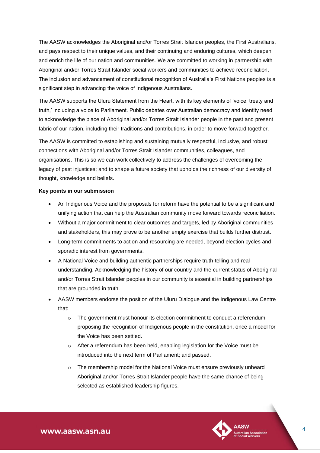The AASW acknowledges the Aboriginal and/or Torres Strait Islander peoples, the First Australians, and pays respect to their unique values, and their continuing and enduring cultures, which deepen and enrich the life of our nation and communities. We are committed to working in partnership with Aboriginal and/or Torres Strait Islander social workers and communities to achieve reconciliation. The inclusion and advancement of constitutional recognition of Australia's First Nations peoples is a significant step in advancing the voice of Indigenous Australians.

The AASW supports the Uluru Statement from the Heart, with its key elements of 'voice, treaty and truth,' including a voice to Parliament. Public debates over Australian democracy and identity need to acknowledge the place of Aboriginal and/or Torres Strait Islander people in the past and present fabric of our nation, including their traditions and contributions, in order to move forward together.

The AASW is committed to establishing and sustaining mutually respectful, inclusive, and robust connections with Aboriginal and/or Torres Strait Islander communities, colleagues, and organisations. This is so we can work collectively to address the challenges of overcoming the legacy of past injustices; and to shape a future society that upholds the richness of our diversity of thought, knowledge and beliefs.

#### **Key points in our submission**

- An Indigenous Voice and the proposals for reform have the potential to be a significant and unifying action that can help the Australian community move forward towards reconciliation.
- Without a major commitment to clear outcomes and targets, led by Aboriginal communities and stakeholders, this may prove to be another empty exercise that builds further distrust.
- Long-term commitments to action and resourcing are needed, beyond election cycles and sporadic interest from governments.
- A National Voice and building authentic partnerships require truth-telling and real understanding. Acknowledging the history of our country and the current status of Aboriginal and/or Torres Strait Islander peoples in our community is essential in building partnerships that are grounded in truth.
- AASW members endorse the position of the Uluru Dialogue and the Indigenous Law Centre that:
	- $\circ$  The government must honour its election commitment to conduct a referendum proposing the recognition of Indigenous people in the constitution, once a model for the Voice has been settled.
	- $\circ$  After a referendum has been held, enabling legislation for the Voice must be introduced into the next term of Parliament; and passed.
	- o The membership model for the National Voice must ensure previously unheard Aboriginal and/or Torres Strait Islander people have the same chance of being selected as established leadership figures.

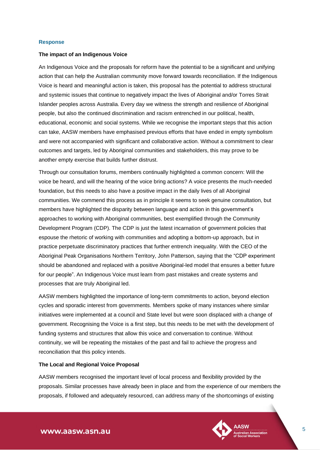#### **Response**

#### **The impact of an Indigenous Voice**

An Indigenous Voice and the proposals for reform have the potential to be a significant and unifying action that can help the Australian community move forward towards reconciliation. If the Indigenous Voice is heard and meaningful action is taken, this proposal has the potential to address structural and systemic issues that continue to negatively impact the lives of Aboriginal and/or Torres Strait Islander peoples across Australia. Every day we witness the strength and resilience of Aboriginal people, but also the continued discrimination and racism entrenched in our political, health, educational, economic and social systems. While we recognise the important steps that this action can take, AASW members have emphasised previous efforts that have ended in empty symbolism and were not accompanied with significant and collaborative action. Without a commitment to clear outcomes and targets, led by Aboriginal communities and stakeholders, this may prove to be another empty exercise that builds further distrust.

Through our consultation forums, members continually highlighted a common concern: Will the voice be heard, and will the hearing of the voice bring actions? A voice presents the much-needed foundation, but this needs to also have a positive impact in the daily lives of all Aboriginal communities. We commend this process as in principle it seems to seek genuine consultation, but members have highlighted the disparity between language and action in this government's approaches to working with Aboriginal communities, best exemplified through the Community Development Program (CDP). The CDP is just the latest incarnation of government policies that espouse the rhetoric of working with communities and adopting a bottom-up approach, but in practice perpetuate discriminatory practices that further entrench inequality. With the CEO of the Aboriginal Peak Organisations Northern Territory, John Patterson, saying that the "CDP experiment should be abandoned and replaced with a positive Aboriginal-led model that ensures a better future for our people". An Indigenous Voice must learn from past mistakes and create systems and processes that are truly Aboriginal led.

AASW members highlighted the importance of long-term commitments to action, beyond election cycles and sporadic interest from governments. Members spoke of many instances where similar initiatives were implemented at a council and State level but were soon displaced with a change of government. Recognising the Voice is a first step, but this needs to be met with the development of funding systems and structures that allow this voice and conversation to continue. Without continuity, we will be repeating the mistakes of the past and fail to achieve the progress and reconciliation that this policy intends.

#### **The Local and Regional Voice Proposal**

AASW members recognised the important level of local process and flexibility provided by the proposals. Similar processes have already been in place and from the experience of our members the proposals, if followed and adequately resourced, can address many of the shortcomings of existing

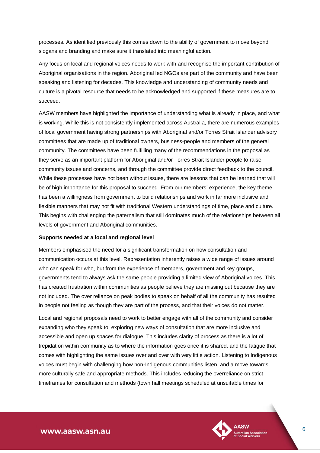processes. As identified previously this comes down to the ability of government to move beyond slogans and branding and make sure it translated into meaningful action.

Any focus on local and regional voices needs to work with and recognise the important contribution of Aboriginal organisations in the region. Aboriginal led NGOs are part of the community and have been speaking and listening for decades. This knowledge and understanding of community needs and culture is a pivotal resource that needs to be acknowledged and supported if these measures are to succeed.

AASW members have highlighted the importance of understanding what is already in place, and what is working. While this is not consistently implemented across Australia, there are numerous examples of local government having strong partnerships with Aboriginal and/or Torres Strait Islander advisory committees that are made up of traditional owners, business-people and members of the general community. The committees have been fulfilling many of the recommendations in the proposal as they serve as an important platform for Aboriginal and/or Torres Strait Islander people to raise community issues and concerns, and through the committee provide direct feedback to the council. While these processes have not been without issues, there are lessons that can be learned that will be of high importance for this proposal to succeed. From our members' experience, the key theme has been a willingness from government to build relationships and work in far more inclusive and flexible manners that may not fit with traditional Western understandings of time, place and culture. This begins with challenging the paternalism that still dominates much of the relationships between all levels of government and Aboriginal communities.

#### **Supports needed at a local and regional level**

Members emphasised the need for a significant transformation on how consultation and communication occurs at this level. Representation inherently raises a wide range of issues around who can speak for who, but from the experience of members, government and key groups, governments tend to always ask the same people providing a limited view of Aboriginal voices. This has created frustration within communities as people believe they are missing out because they are not included. The over reliance on peak bodies to speak on behalf of all the community has resulted in people not feeling as though they are part of the process, and that their voices do not matter.

Local and regional proposals need to work to better engage with all of the community and consider expanding who they speak to, exploring new ways of consultation that are more inclusive and accessible and open up spaces for dialogue. This includes clarity of process as there is a lot of trepidation within community as to where the information goes once it is shared, and the fatigue that comes with highlighting the same issues over and over with very little action. Listening to Indigenous voices must begin with challenging how non-Indigenous communities listen, and a move towards more culturally safe and appropriate methods. This includes reducing the overreliance on strict timeframes for consultation and methods (town hall meetings scheduled at unsuitable times for

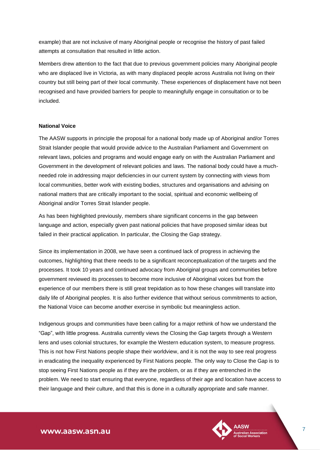example) that are not inclusive of many Aboriginal people or recognise the history of past failed attempts at consultation that resulted in little action.

Members drew attention to the fact that due to previous government policies many Aboriginal people who are displaced live in Victoria, as with many displaced people across Australia not living on their country but still being part of their local community. These experiences of displacement have not been recognised and have provided barriers for people to meaningfully engage in consultation or to be included.

#### **National Voice**

The AASW supports in principle the proposal for a national body made up of Aboriginal and/or Torres Strait Islander people that would provide advice to the Australian Parliament and Government on relevant laws, policies and programs and would engage early on with the Australian Parliament and Government in the development of relevant policies and laws. The national body could have a muchneeded role in addressing major deficiencies in our current system by connecting with views from local communities, better work with existing bodies, structures and organisations and advising on national matters that are critically important to the social, spiritual and economic wellbeing of Aboriginal and/or Torres Strait Islander people.

As has been highlighted previously, members share significant concerns in the gap between language and action, especially given past national policies that have proposed similar ideas but failed in their practical application. In particular, the Closing the Gap strategy.

Since its implementation in 2008, we have seen a continued lack of progress in achieving the outcomes, highlighting that there needs to be a significant reconceptualization of the targets and the processes. It took 10 years and continued advocacy from Aboriginal groups and communities before government reviewed its processes to become more inclusive of Aboriginal voices but from the experience of our members there is still great trepidation as to how these changes will translate into daily life of Aboriginal peoples. It is also further evidence that without serious commitments to action, the National Voice can become another exercise in symbolic but meaningless action.

Indigenous groups and communities have been calling for a major rethink of how we understand the "Gap", with little progress. Australia currently views the Closing the Gap targets through a Western lens and uses colonial structures, for example the Western education system, to measure progress. This is not how First Nations people shape their worldview, and it is not the way to see real progress in eradicating the inequality experienced by First Nations people. The only way to Close the Gap is to stop seeing First Nations people as if they are the problem, or as if they are entrenched in the problem. We need to start ensuring that everyone, regardless of their age and location have access to their language and their culture, and that this is done in a culturally appropriate and safe manner.

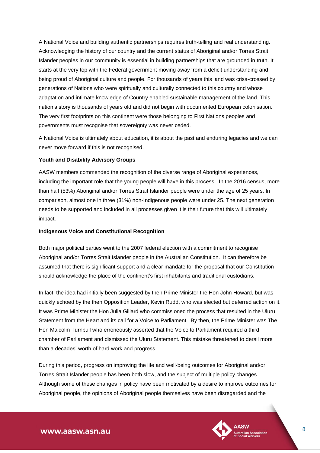A National Voice and building authentic partnerships requires truth-telling and real understanding. Acknowledging the history of our country and the current status of Aboriginal and/or Torres Strait Islander peoples in our community is essential in building partnerships that are grounded in truth. It starts at the very top with the Federal government moving away from a deficit understanding and being proud of Aboriginal culture and people. For thousands of years this land was criss-crossed by generations of Nations who were spiritually and culturally connected to this country and whose adaptation and intimate knowledge of Country enabled sustainable management of the land. This nation's story is thousands of years old and did not begin with documented European colonisation. The very first footprints on this continent were those belonging to First Nations peoples and governments must recognise that sovereignty was never ceded.

A National Voice is ultimately about education, it is about the past and enduring legacies and we can never move forward if this is not recognised.

#### **Youth and Disability Advisory Groups**

AASW members commended the recognition of the diverse range of Aboriginal experiences, including the important role that the young people will have in this process. In the 2016 census, more than half (53%) Aboriginal and/or Torres Strait Islander people were under the age of 25 years. In comparison, almost one in three (31%) non-Indigenous people were under 25. The next generation needs to be supported and included in all processes given it is their future that this will ultimately impact.

#### **Indigenous Voice and Constitutional Recognition**

Both major political parties went to the 2007 federal election with a commitment to recognise Aboriginal and/or Torres Strait Islander people in the Australian Constitution. It can therefore be assumed that there is significant support and a clear mandate for the proposal that our Constitution should acknowledge the place of the continent's first inhabitants and traditional custodians.

In fact, the idea had initially been suggested by then Prime Minister the Hon John Howard, but was quickly echoed by the then Opposition Leader, Kevin Rudd, who was elected but deferred action on it. It was Prime Minister the Hon Julia Gillard who commissioned the process that resulted in the Uluru Statement from the Heart and its call for a Voice to Parliament. By then, the Prime Minister was The Hon Malcolm Turnbull who erroneously asserted that the Voice to Parliament required a third chamber of Parliament and dismissed the Uluru Statement. This mistake threatened to derail more than a decades' worth of hard work and progress.

During this period, progress on improving the life and well-being outcomes for Aboriginal and/or Torres Strait Islander people has been both slow, and the subject of multiple policy changes. Although some of these changes in policy have been motivated by a desire to improve outcomes for Aboriginal people, the opinions of Aboriginal people themselves have been disregarded and the

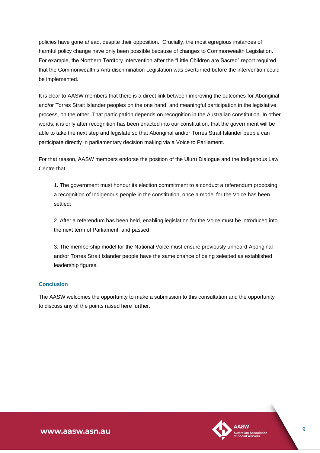policies have gone ahead, despite their opposition. Crucially, the most egregious instances of harmful policy change have only been possible because of changes to Commonwealth Legislation. For example, the Northern Territory Intervention after the "Little Children are Sacred" report required that the Commonwealth's Anti-discrimination Legislation was overturned before the intervention could be implemented.

It is clear to AASW members that there is a direct link between improving the outcomes for Aboriginal and/or Torres Strait Islander peoples on the one hand, and meaningful participation in the legislative process, on the other. That participation depends on recognition in the Australian constitution. In other words, it is only after recognition has been enacted into our constitution, that the government will be able to take the next step and legislate so that Aboriginal and/or Torres Strait Islander people can participate directly in parliamentary decision making via a Voice to Parliament.

For that reason, AASW members endorse the position of the Uluru Dialogue and the Indigenous Law Centre that

1. The government must honour its election commitment to a conduct a referendum proposing a recognition of Indigenous people in the constitution, once a model for the Voice has been settled;

2. After a referendum has been held, enabling legislation for the Voice must be introduced into the next term of Parliament; and passed

3. The membership model for the National Voice must ensure previously unheard Aboriginal and/or Torres Strait Islander people have the same chance of being selected as established leadership figures.

#### **Conclusion**

The AASW welcomes the opportunity to make a submission to this consultation and the opportunity to discuss any of the points raised here further.